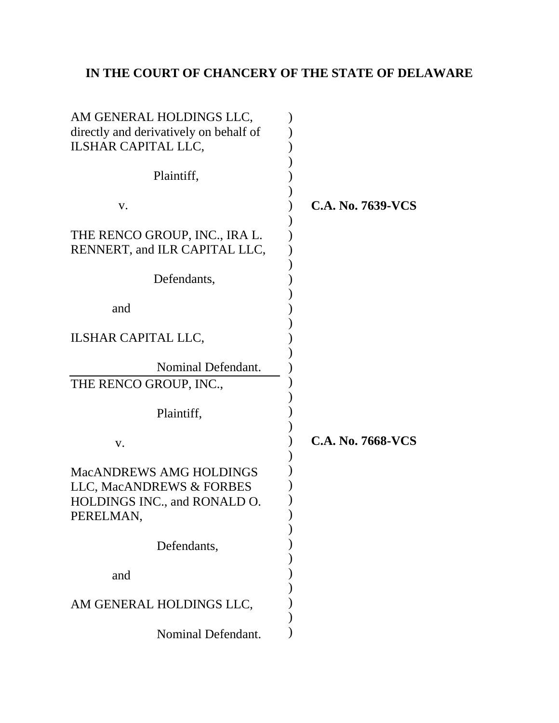# **IN THE COURT OF CHANCERY OF THE STATE OF DELAWARE**

| AM GENERAL HOLDINGS LLC,<br>directly and derivatively on behalf of<br>ILSHAR CAPITAL LLC, |                   |
|-------------------------------------------------------------------------------------------|-------------------|
| Plaintiff,                                                                                |                   |
|                                                                                           |                   |
| V.                                                                                        | C.A. No. 7639-VCS |
| THE RENCO GROUP, INC., IRA L.                                                             |                   |
| RENNERT, and ILR CAPITAL LLC,                                                             |                   |
|                                                                                           |                   |
| Defendants,                                                                               |                   |
|                                                                                           |                   |
| and                                                                                       |                   |
|                                                                                           |                   |
| <b>ILSHAR CAPITAL LLC,</b>                                                                |                   |
|                                                                                           |                   |
| Nominal Defendant.                                                                        |                   |
| THE RENCO GROUP, INC.,                                                                    |                   |
| Plaintiff,                                                                                |                   |
| V.                                                                                        | C.A. No. 7668-VCS |
|                                                                                           |                   |
| <b>MacANDREWS AMG HOLDINGS</b>                                                            |                   |
| LLC, MacANDREWS & FORBES                                                                  |                   |
| HOLDINGS INC., and RONALD O.                                                              |                   |
| PERELMAN,                                                                                 |                   |
|                                                                                           |                   |
| Defendants,                                                                               |                   |
| and                                                                                       |                   |
|                                                                                           |                   |
| AM GENERAL HOLDINGS LLC,                                                                  |                   |
|                                                                                           |                   |
| Nominal Defendant.                                                                        |                   |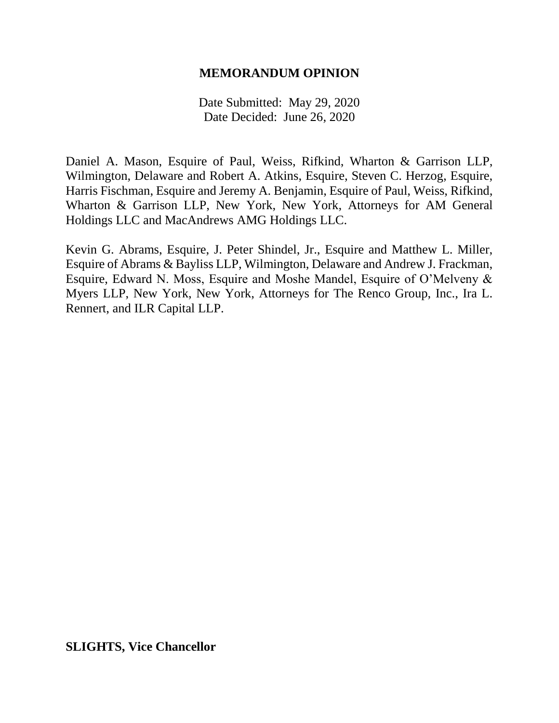## **MEMORANDUM OPINION**

Date Submitted: May 29, 2020 Date Decided: June 26, 2020

Daniel A. Mason, Esquire of Paul, Weiss, Rifkind, Wharton & Garrison LLP, Wilmington, Delaware and Robert A. Atkins, Esquire, Steven C. Herzog, Esquire, Harris Fischman, Esquire and Jeremy A. Benjamin, Esquire of Paul, Weiss, Rifkind, Wharton & Garrison LLP, New York, New York, Attorneys for AM General Holdings LLC and MacAndrews AMG Holdings LLC.

Kevin G. Abrams, Esquire, J. Peter Shindel, Jr., Esquire and Matthew L. Miller, Esquire of Abrams & Bayliss LLP, Wilmington, Delaware and Andrew J. Frackman, Esquire, Edward N. Moss, Esquire and Moshe Mandel, Esquire of O'Melveny & Myers LLP, New York, New York, Attorneys for The Renco Group, Inc., Ira L. Rennert, and ILR Capital LLP.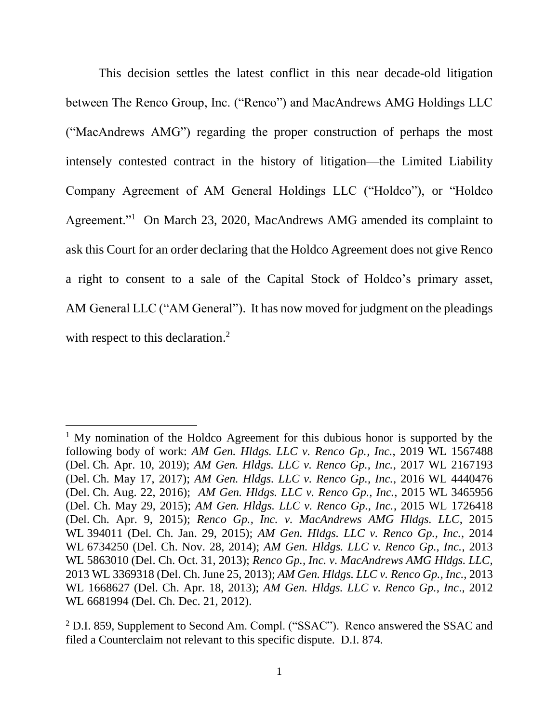This decision settles the latest conflict in this near decade-old litigation between The Renco Group, Inc. ("Renco") and MacAndrews AMG Holdings LLC ("MacAndrews AMG") regarding the proper construction of perhaps the most intensely contested contract in the history of litigation—the Limited Liability Company Agreement of AM General Holdings LLC ("Holdco"), or "Holdco Agreement."<sup>1</sup> On March 23, 2020, MacAndrews AMG amended its complaint to ask this Court for an order declaring that the Holdco Agreement does not give Renco a right to consent to a sale of the Capital Stock of Holdco's primary asset, AM General LLC ("AM General"). It has now moved for judgment on the pleadings with respect to this declaration.<sup>2</sup>

<sup>&</sup>lt;sup>1</sup> My nomination of the Holdco Agreement for this dubious honor is supported by the following body of work: *AM Gen. Hldgs. LLC v. Renco Gp., Inc.*, 2019 WL 1567488 (Del. Ch. Apr. 10, 2019); *AM Gen. Hldgs. LLC v. Renco Gp., Inc.*, 2017 WL 2167193 (Del. Ch. May 17, 2017); *AM Gen. Hldgs. LLC v. Renco Gp., Inc.*, 2016 WL 4440476 (Del. Ch. Aug. 22, 2016); *AM Gen. Hldgs. LLC v. Renco Gp., Inc.*, 2015 WL 3465956 (Del. Ch. May 29, 2015); *AM Gen. Hldgs. LLC v. Renco Gp., Inc.*, 2015 WL 1726418 (Del. Ch. Apr. 9, 2015); *Renco Gp., Inc. v. MacAndrews AMG Hldgs. LLC*, 2015 WL 394011 (Del. Ch. Jan. 29, 2015); *AM Gen. Hldgs. LLC v. Renco Gp., Inc.*, 2014 WL 6734250 (Del. Ch. Nov. 28, 2014); *AM Gen. Hldgs. LLC v. Renco Gp., Inc.*, 2013 WL 5863010 (Del. Ch. Oct. 31, 2013); *Renco Gp., Inc. v. MacAndrews AMG Hldgs. LLC*, 2013 WL 3369318 (Del. Ch. June 25, 2013); *AM Gen. Hldgs. LLC v. Renco Gp., Inc.*, 2013 WL 1668627 (Del. Ch. Apr. 18, 2013); *AM Gen. Hldgs. LLC v. Renco Gp., Inc*., 2012 WL 6681994 (Del. Ch. Dec. 21, 2012).

<sup>&</sup>lt;sup>2</sup> D.I. 859, Supplement to Second Am. Compl. ("SSAC"). Renco answered the SSAC and filed a Counterclaim not relevant to this specific dispute. D.I. 874.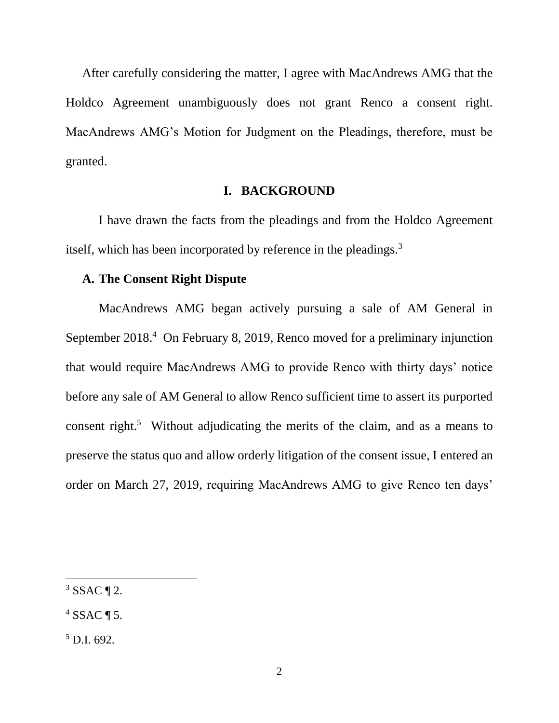After carefully considering the matter, I agree with MacAndrews AMG that the Holdco Agreement unambiguously does not grant Renco a consent right. MacAndrews AMG's Motion for Judgment on the Pleadings, therefore, must be granted.

#### **I. BACKGROUND**

I have drawn the facts from the pleadings and from the Holdco Agreement itself, which has been incorporated by reference in the pleadings.<sup>3</sup>

## **A. The Consent Right Dispute**

MacAndrews AMG began actively pursuing a sale of AM General in September 2018.<sup>4</sup> On February 8, 2019, Renco moved for a preliminary injunction that would require MacAndrews AMG to provide Renco with thirty days' notice before any sale of AM General to allow Renco sufficient time to assert its purported consent right.<sup>5</sup> Without adjudicating the merits of the claim, and as a means to preserve the status quo and allow orderly litigation of the consent issue, I entered an order on March 27, 2019, requiring MacAndrews AMG to give Renco ten days'

 $3$  SSAC ¶ 2.

 $4$  SSAC ¶ 5.

 $5$  D.I. 692.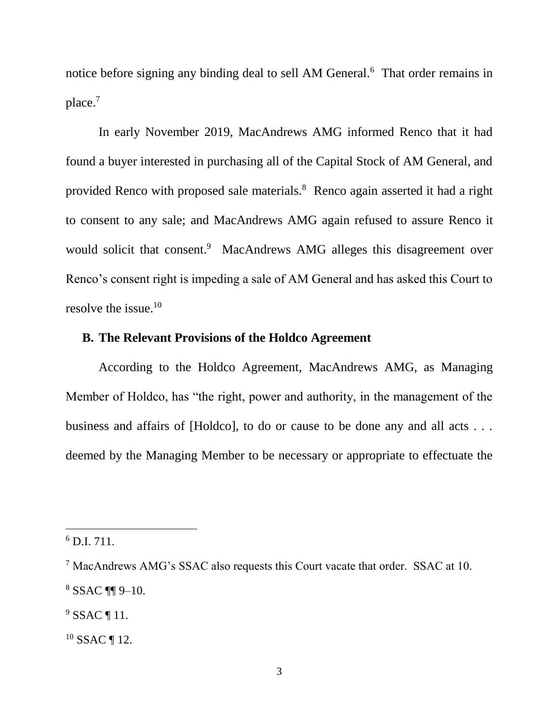notice before signing any binding deal to sell AM General.<sup>6</sup> That order remains in place.<sup>7</sup>

In early November 2019, MacAndrews AMG informed Renco that it had found a buyer interested in purchasing all of the Capital Stock of AM General, and provided Renco with proposed sale materials.<sup>8</sup> Renco again asserted it had a right to consent to any sale; and MacAndrews AMG again refused to assure Renco it would solicit that consent.<sup>9</sup> MacAndrews AMG alleges this disagreement over Renco's consent right is impeding a sale of AM General and has asked this Court to resolve the issue.<sup>10</sup>

## **B. The Relevant Provisions of the Holdco Agreement**

According to the Holdco Agreement, MacAndrews AMG, as Managing Member of Holdco, has "the right, power and authority, in the management of the business and affairs of [Holdco], to do or cause to be done any and all acts . . . deemed by the Managing Member to be necessary or appropriate to effectuate the

 $6$  D.I. 711.

<sup>7</sup> MacAndrews AMG's SSAC also requests this Court vacate that order. SSAC at 10. <sup>8</sup> SSAC ¶¶ 9–10.

 $9$  SSAC ¶ 11.

 $10$  SSAC ¶ 12.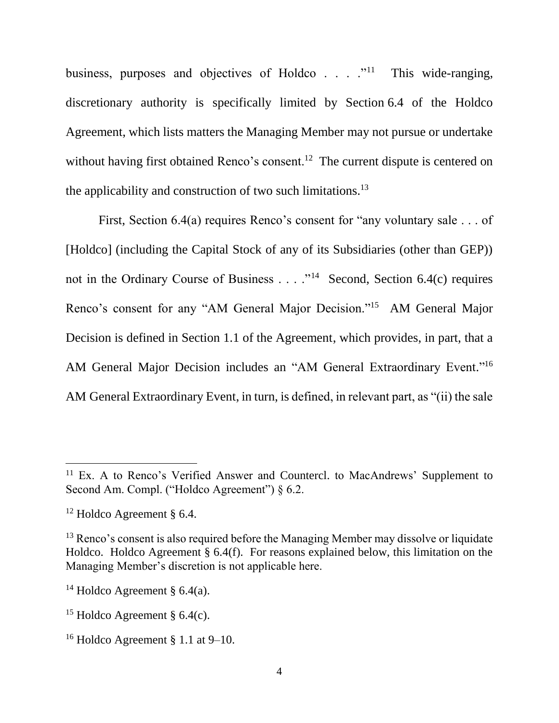business, purposes and objectives of Holdco  $\ldots$   $\ldots$   $\ldots$  This wide-ranging, discretionary authority is specifically limited by Section 6.4 of the Holdco Agreement, which lists matters the Managing Member may not pursue or undertake without having first obtained Renco's consent.<sup>12</sup> The current dispute is centered on the applicability and construction of two such limitations.<sup>13</sup>

First, Section 6.4(a) requires Renco's consent for "any voluntary sale . . . of [Holdco] (including the Capital Stock of any of its Subsidiaries (other than GEP)) not in the Ordinary Course of Business . . . . "<sup>14</sup> Second, Section 6.4(c) requires Renco's consent for any "AM General Major Decision."<sup>15</sup> AM General Major Decision is defined in Section 1.1 of the Agreement, which provides, in part, that a AM General Major Decision includes an "AM General Extraordinary Event."<sup>16</sup> AM General Extraordinary Event, in turn, is defined, in relevant part, as "(ii) the sale

<sup>&</sup>lt;sup>11</sup> Ex. A to Renco's Verified Answer and Countercl. to MacAndrews' Supplement to Second Am. Compl. ("Holdco Agreement")  $\delta$  6.2.

<sup>12</sup> Holdco Agreement § 6.4.

 $13$  Renco's consent is also required before the Managing Member may dissolve or liquidate Holdco. Holdco Agreement § 6.4(f). For reasons explained below, this limitation on the Managing Member's discretion is not applicable here.

<sup>&</sup>lt;sup>14</sup> Holdco Agreement § 6.4(a).

<sup>&</sup>lt;sup>15</sup> Holdco Agreement §  $6.4(c)$ .

<sup>&</sup>lt;sup>16</sup> Holdco Agreement § 1.1 at  $9-10$ .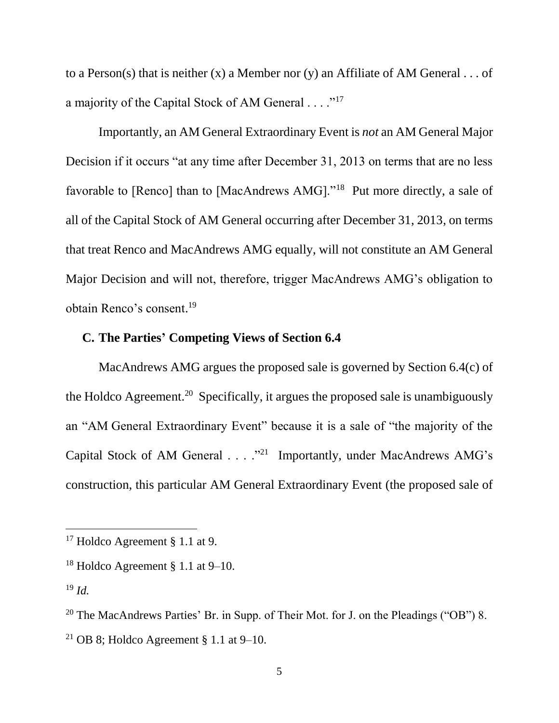to a Person(s) that is neither (x) a Member nor (y) an Affiliate of AM General  $\dots$  of a majority of the Capital Stock of AM General  $\dots$ ."<sup>17</sup>

Importantly, an AM General Extraordinary Event is *not* an AM General Major Decision if it occurs "at any time after December 31, 2013 on terms that are no less favorable to [Renco] than to [MacAndrews AMG]."<sup>18</sup> Put more directly, a sale of all of the Capital Stock of AM General occurring after December 31, 2013, on terms that treat Renco and MacAndrews AMG equally, will not constitute an AM General Major Decision and will not, therefore, trigger MacAndrews AMG's obligation to obtain Renco's consent. 19

## **C. The Parties' Competing Views of Section 6.4**

MacAndrews AMG argues the proposed sale is governed by Section 6.4(c) of the Holdco Agreement.<sup>20</sup> Specifically, it argues the proposed sale is unambiguously an "AM General Extraordinary Event" because it is a sale of "the majority of the Capital Stock of AM General  $\ldots$  ."<sup>21</sup> Importantly, under MacAndrews AMG's construction, this particular AM General Extraordinary Event (the proposed sale of

<sup>&</sup>lt;sup>17</sup> Holdco Agreement § 1.1 at 9.

<sup>&</sup>lt;sup>18</sup> Holdco Agreement § 1.1 at  $9-10$ .

 $19$  *Id.* 

<sup>&</sup>lt;sup>20</sup> The MacAndrews Parties' Br. in Supp. of Their Mot. for J. on the Pleadings ("OB") 8.

<sup>&</sup>lt;sup>21</sup> OB 8; Holdco Agreement § 1.1 at  $9-10$ .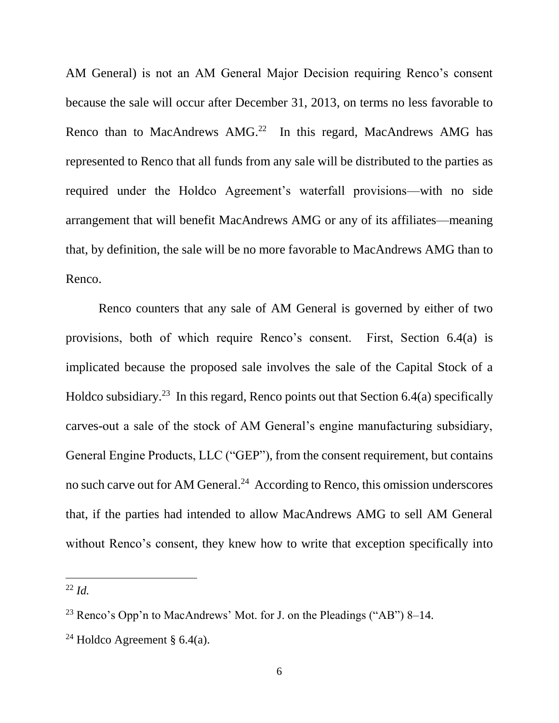AM General) is not an AM General Major Decision requiring Renco's consent because the sale will occur after December 31, 2013, on terms no less favorable to Renco than to MacAndrews AMG. $22$  In this regard, MacAndrews AMG has represented to Renco that all funds from any sale will be distributed to the parties as required under the Holdco Agreement's waterfall provisions—with no side arrangement that will benefit MacAndrews AMG or any of its affiliates—meaning that, by definition, the sale will be no more favorable to MacAndrews AMG than to Renco.

Renco counters that any sale of AM General is governed by either of two provisions, both of which require Renco's consent. First, Section 6.4(a) is implicated because the proposed sale involves the sale of the Capital Stock of a Holdco subsidiary.<sup>23</sup> In this regard, Renco points out that Section  $6.4(a)$  specifically carves-out a sale of the stock of AM General's engine manufacturing subsidiary, General Engine Products, LLC ("GEP"), from the consent requirement, but contains no such carve out for AM General.<sup>24</sup> According to Renco, this omission underscores that, if the parties had intended to allow MacAndrews AMG to sell AM General without Renco's consent, they knew how to write that exception specifically into

 $22$  *Id.* 

<sup>&</sup>lt;sup>23</sup> Renco's Opp'n to MacAndrews' Mot. for J. on the Pleadings ("AB")  $8-14$ .

<sup>&</sup>lt;sup>24</sup> Holdco Agreement § 6.4(a).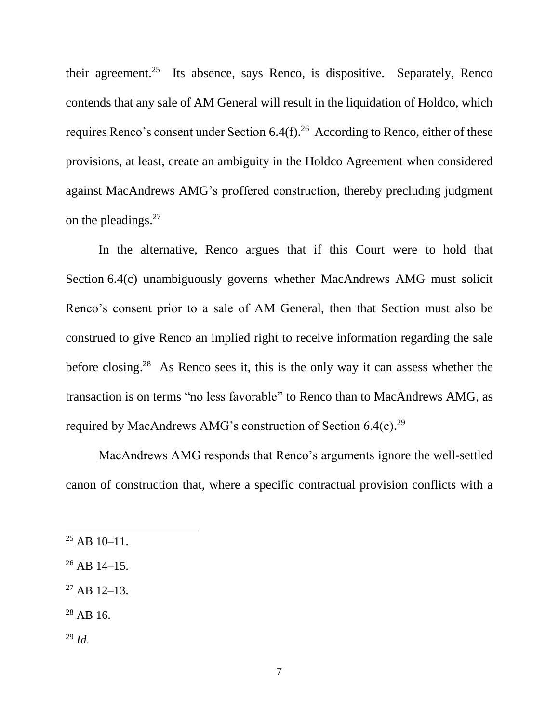their agreement.<sup>25</sup> Its absence, says Renco, is dispositive. Separately, Renco contends that any sale of AM General will result in the liquidation of Holdco, which requires Renco's consent under Section  $6.4(f).^{26}$  According to Renco, either of these provisions, at least, create an ambiguity in the Holdco Agreement when considered against MacAndrews AMG's proffered construction, thereby precluding judgment on the pleadings.<sup>27</sup>

In the alternative, Renco argues that if this Court were to hold that Section 6.4(c) unambiguously governs whether MacAndrews AMG must solicit Renco's consent prior to a sale of AM General, then that Section must also be construed to give Renco an implied right to receive information regarding the sale before closing.<sup>28</sup> As Renco sees it, this is the only way it can assess whether the transaction is on terms "no less favorable" to Renco than to MacAndrews AMG, as required by MacAndrews AMG's construction of Section  $6.4(c).^{29}$ 

MacAndrews AMG responds that Renco's arguments ignore the well-settled canon of construction that, where a specific contractual provision conflicts with a

- $^{26}$  AB 14–15.
- $27$  AB 12-13.
- $28$  AB 16.
- <sup>29</sup> *Id*.

 $^{25}$  AB 10–11.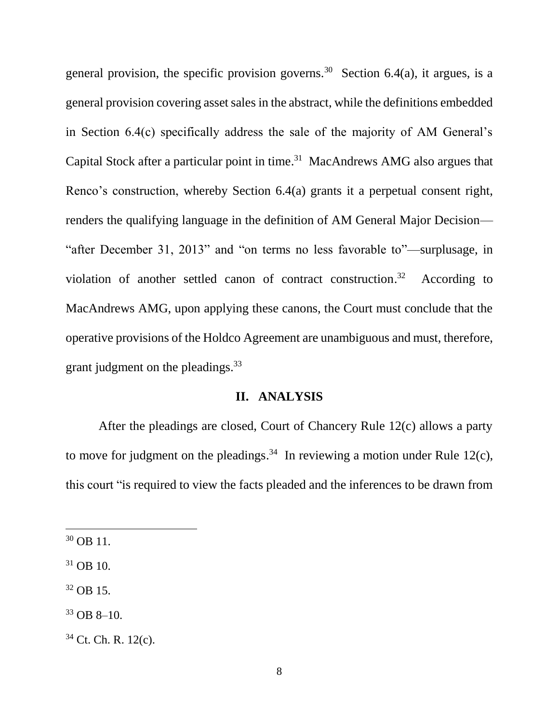general provision, the specific provision governs.<sup>30</sup> Section 6.4(a), it argues, is a general provision covering asset sales in the abstract, while the definitions embedded in Section 6.4(c) specifically address the sale of the majority of AM General's Capital Stock after a particular point in time. 31 MacAndrews AMG also argues that Renco's construction, whereby Section 6.4(a) grants it a perpetual consent right, renders the qualifying language in the definition of AM General Major Decision— "after December 31, 2013" and "on terms no less favorable to"—surplusage, in violation of another settled canon of contract construction. 32 According to MacAndrews AMG, upon applying these canons, the Court must conclude that the operative provisions of the Holdco Agreement are unambiguous and must, therefore, grant judgment on the pleadings.<sup>33</sup>

#### **II. ANALYSIS**

After the pleadings are closed, Court of Chancery Rule 12(c) allows a party to move for judgment on the pleadings.<sup>34</sup> In reviewing a motion under Rule 12(c), this court "is required to view the facts pleaded and the inferences to be drawn from

 $30$  OB 11.

 $31$  OB 10.

 $32$  OB 15.

 $33$  OB 8–10.

<sup>34</sup> Ct. Ch. R. 12(c).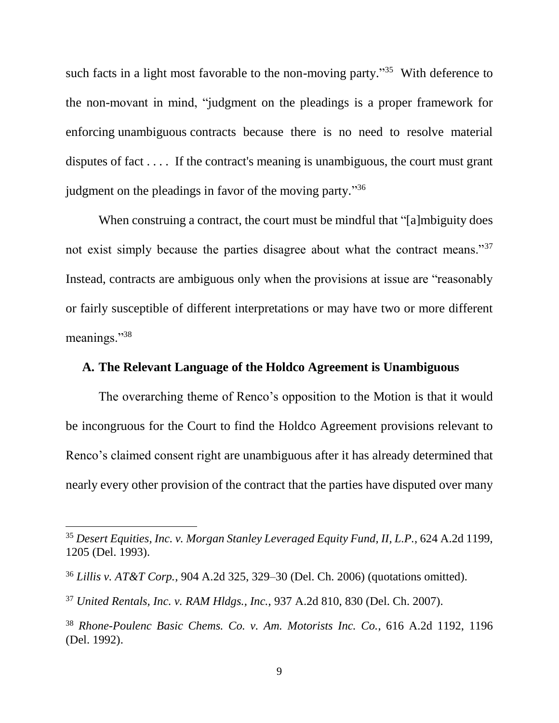such facts in a light most favorable to the non-moving party."<sup>35</sup> With deference to the non-movant in mind, "judgment on the pleadings is a proper framework for enforcing unambiguous contracts because there is no need to resolve material disputes of fact . . . . If the contract's meaning is unambiguous, the court must grant judgment on the pleadings in favor of the moving party."<sup>36</sup>

When construing a contract, the court must be mindful that "[a]mbiguity does not exist simply because the parties disagree about what the contract means."<sup>37</sup> Instead, contracts are ambiguous only when the provisions at issue are "reasonably or fairly susceptible of different interpretations or may have two or more different meanings."<sup>38</sup>

## **A. The Relevant Language of the Holdco Agreement is Unambiguous**

The overarching theme of Renco's opposition to the Motion is that it would be incongruous for the Court to find the Holdco Agreement provisions relevant to Renco's claimed consent right are unambiguous after it has already determined that nearly every other provision of the contract that the parties have disputed over many

<sup>35</sup> *Desert Equities, Inc. v. Morgan Stanley Leveraged Equity Fund, II, L.P.*, 624 A.2d 1199, 1205 (Del. 1993).

<sup>36</sup> *Lillis v. AT&T Corp.*, 904 A.2d 325, 329–30 (Del. Ch. 2006) (quotations omitted).

<sup>37</sup> *United Rentals, Inc. v. RAM Hldgs., Inc.*, 937 A.2d 810, 830 (Del. Ch. 2007).

<sup>38</sup> *Rhone-Poulenc Basic Chems. Co. v. Am. Motorists Inc. Co.*, 616 A.2d 1192, 1196 (Del. 1992).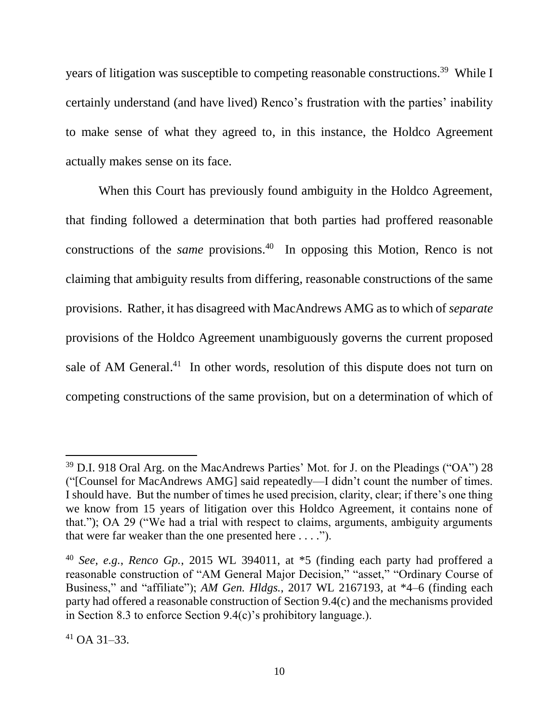years of litigation was susceptible to competing reasonable constructions.<sup>39</sup> While I certainly understand (and have lived) Renco's frustration with the parties' inability to make sense of what they agreed to, in this instance, the Holdco Agreement actually makes sense on its face.

When this Court has previously found ambiguity in the Holdco Agreement, that finding followed a determination that both parties had proffered reasonable constructions of the *same* provisions. 40 In opposing this Motion, Renco is not claiming that ambiguity results from differing, reasonable constructions of the same provisions. Rather, it has disagreed with MacAndrews AMG as to which of *separate* provisions of the Holdco Agreement unambiguously governs the current proposed sale of AM General.<sup>41</sup> In other words, resolution of this dispute does not turn on competing constructions of the same provision, but on a determination of which of

<sup>&</sup>lt;sup>39</sup> D.I. 918 Oral Arg. on the MacAndrews Parties' Mot. for J. on the Pleadings ("OA") 28 ("[Counsel for MacAndrews AMG] said repeatedly—I didn't count the number of times. I should have. But the number of times he used precision, clarity, clear; if there's one thing we know from 15 years of litigation over this Holdco Agreement, it contains none of that."); OA 29 ("We had a trial with respect to claims, arguments, ambiguity arguments that were far weaker than the one presented here . . . .").

<sup>40</sup> *See, e.g.*, *Renco Gp.*, 2015 WL 394011, at \*5 (finding each party had proffered a reasonable construction of "AM General Major Decision," "asset," "Ordinary Course of Business," and "affiliate"); *AM Gen. Hldgs.*, 2017 WL 2167193, at \*4–6 (finding each party had offered a reasonable construction of Section 9.4(c) and the mechanisms provided in Section 8.3 to enforce Section 9.4(c)'s prohibitory language.).

 $41$  OA 31–33.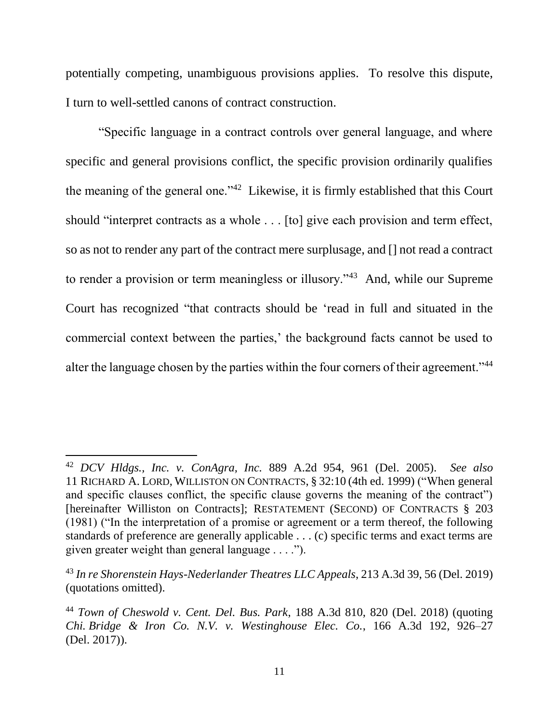potentially competing, unambiguous provisions applies. To resolve this dispute, I turn to well-settled canons of contract construction.

"Specific language in a contract controls over general language, and where specific and general provisions conflict, the specific provision ordinarily qualifies the meaning of the general one."<sup>42</sup> Likewise, it is firmly established that this Court should "interpret contracts as a whole . . . [to] give each provision and term effect, so as not to render any part of the contract mere surplusage, and [] not read a contract to render a provision or term meaningless or illusory."<sup>43</sup> And, while our Supreme Court has recognized "that contracts should be 'read in full and situated in the commercial context between the parties,' the background facts cannot be used to alter the language chosen by the parties within the four corners of their agreement."<sup>44</sup>

<sup>42</sup> *DCV Hldgs., Inc. v. ConAgra, Inc.* 889 A.2d 954, 961 (Del. 2005). *See also*  11 RICHARD A. LORD, WILLISTON ON CONTRACTS, § 32:10 (4th ed. 1999) ("When general and specific clauses conflict, the specific clause governs the meaning of the contract") [hereinafter Williston on Contracts]; RESTATEMENT (SECOND) OF CONTRACTS § 203 (1981) ("In the interpretation of a promise or agreement or a term thereof, the following standards of preference are generally applicable . . . (c) specific terms and exact terms are given greater weight than general language . . . .").

<sup>43</sup> *In re Shorenstein Hays-Nederlander Theatres LLC Appeals*, 213 A.3d 39, 56 (Del. 2019) (quotations omitted).

<sup>44</sup> *Town of Cheswold v. Cent. Del. Bus. Park*, 188 A.3d 810, 820 (Del. 2018) (quoting *Chi. Bridge & Iron Co. N.V. v. Westinghouse Elec. Co.*, 166 A.3d 192, 926–27 (Del. 2017)).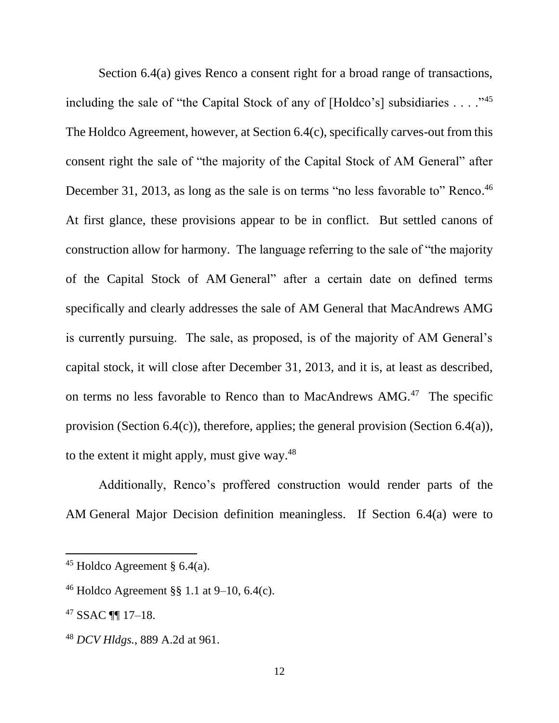Section 6.4(a) gives Renco a consent right for a broad range of transactions, including the sale of "the Capital Stock of any of [Holdco's] subsidiaries  $\ldots$ ."<sup>45</sup> The Holdco Agreement, however, at Section 6.4(c), specifically carves-out from this consent right the sale of "the majority of the Capital Stock of AM General" after December 31, 2013, as long as the sale is on terms "no less favorable to" Renco.<sup>46</sup> At first glance, these provisions appear to be in conflict. But settled canons of construction allow for harmony. The language referring to the sale of "the majority of the Capital Stock of AM General" after a certain date on defined terms specifically and clearly addresses the sale of AM General that MacAndrews AMG is currently pursuing. The sale, as proposed, is of the majority of AM General's capital stock, it will close after December 31, 2013, and it is, at least as described, on terms no less favorable to Renco than to MacAndrews AMG.<sup>47</sup> The specific provision (Section 6.4(c)), therefore, applies; the general provision (Section 6.4(a)), to the extent it might apply, must give way.<sup>48</sup>

Additionally, Renco's proffered construction would render parts of the AM General Major Decision definition meaningless. If Section 6.4(a) were to

<sup>&</sup>lt;sup>45</sup> Holdco Agreement §  $6.4(a)$ .

<sup>&</sup>lt;sup>46</sup> Holdco Agreement §§ 1.1 at  $9-10$ , 6.4(c).

<sup>47</sup> SSAC ¶¶ 17–18.

<sup>48</sup> *DCV Hldgs.*, 889 A.2d at 961.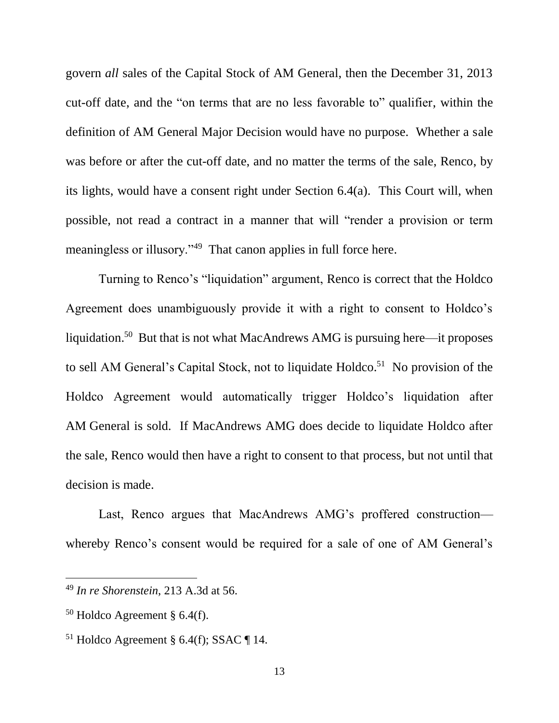govern *all* sales of the Capital Stock of AM General, then the December 31, 2013 cut-off date, and the "on terms that are no less favorable to" qualifier, within the definition of AM General Major Decision would have no purpose. Whether a sale was before or after the cut-off date, and no matter the terms of the sale, Renco, by its lights, would have a consent right under Section 6.4(a). This Court will, when possible, not read a contract in a manner that will "render a provision or term meaningless or illusory."<sup>49</sup> That canon applies in full force here.

Turning to Renco's "liquidation" argument, Renco is correct that the Holdco Agreement does unambiguously provide it with a right to consent to Holdco's liquidation.<sup>50</sup> But that is not what MacAndrews AMG is pursuing here—it proposes to sell AM General's Capital Stock, not to liquidate Holdco.<sup>51</sup> No provision of the Holdco Agreement would automatically trigger Holdco's liquidation after AM General is sold. If MacAndrews AMG does decide to liquidate Holdco after the sale, Renco would then have a right to consent to that process, but not until that decision is made.

Last, Renco argues that MacAndrews AMG's proffered construction whereby Renco's consent would be required for a sale of one of AM General's

<sup>49</sup> *In re Shorenstein*, 213 A.3d at 56.

 $50$  Holdco Agreement § 6.4(f).

<sup>&</sup>lt;sup>51</sup> Holdco Agreement § 6.4(f); SSAC ¶ 14.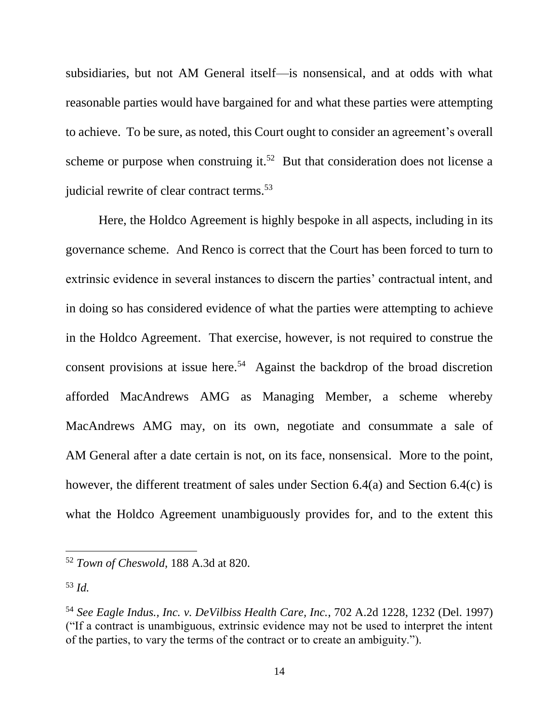subsidiaries, but not AM General itself—is nonsensical, and at odds with what reasonable parties would have bargained for and what these parties were attempting to achieve. To be sure, as noted, this Court ought to consider an agreement's overall scheme or purpose when construing it.<sup>52</sup> But that consideration does not license a judicial rewrite of clear contract terms.<sup>53</sup>

Here, the Holdco Agreement is highly bespoke in all aspects, including in its governance scheme. And Renco is correct that the Court has been forced to turn to extrinsic evidence in several instances to discern the parties' contractual intent, and in doing so has considered evidence of what the parties were attempting to achieve in the Holdco Agreement. That exercise, however, is not required to construe the consent provisions at issue here.<sup>54</sup> Against the backdrop of the broad discretion afforded MacAndrews AMG as Managing Member, a scheme whereby MacAndrews AMG may, on its own, negotiate and consummate a sale of AM General after a date certain is not, on its face, nonsensical. More to the point, however, the different treatment of sales under Section 6.4(a) and Section 6.4(c) is what the Holdco Agreement unambiguously provides for, and to the extent this

<sup>52</sup> *Town of Cheswold*, 188 A.3d at 820.

<sup>53</sup> *Id.* 

<sup>54</sup> *See Eagle Indus., Inc. v. DeVilbiss Health Care, Inc.*, 702 A.2d 1228, 1232 (Del. 1997) ("If a contract is unambiguous, extrinsic evidence may not be used to interpret the intent of the parties, to vary the terms of the contract or to create an ambiguity.").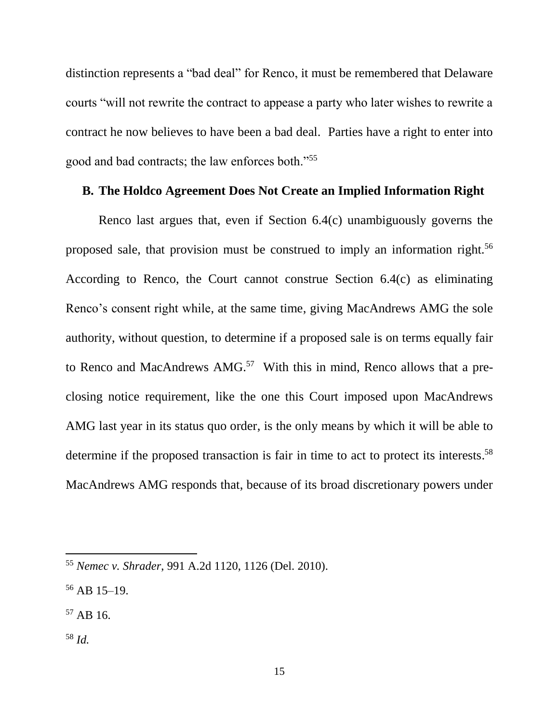distinction represents a "bad deal" for Renco, it must be remembered that Delaware courts "will not rewrite the contract to appease a party who later wishes to rewrite a contract he now believes to have been a bad deal. Parties have a right to enter into good and bad contracts; the law enforces both."<sup>55</sup>

#### **B. The Holdco Agreement Does Not Create an Implied Information Right**

Renco last argues that, even if Section 6.4(c) unambiguously governs the proposed sale, that provision must be construed to imply an information right.<sup>56</sup> According to Renco, the Court cannot construe Section 6.4(c) as eliminating Renco's consent right while, at the same time, giving MacAndrews AMG the sole authority, without question, to determine if a proposed sale is on terms equally fair to Renco and MacAndrews AMG.<sup>57</sup> With this in mind, Renco allows that a preclosing notice requirement, like the one this Court imposed upon MacAndrews AMG last year in its status quo order, is the only means by which it will be able to determine if the proposed transaction is fair in time to act to protect its interests. 58 MacAndrews AMG responds that, because of its broad discretionary powers under

- $57$  AB 16.
- <sup>58</sup> *Id.*

<sup>55</sup> *Nemec v. Shrader*, 991 A.2d 1120, 1126 (Del. 2010).

<sup>56</sup> AB 15–19.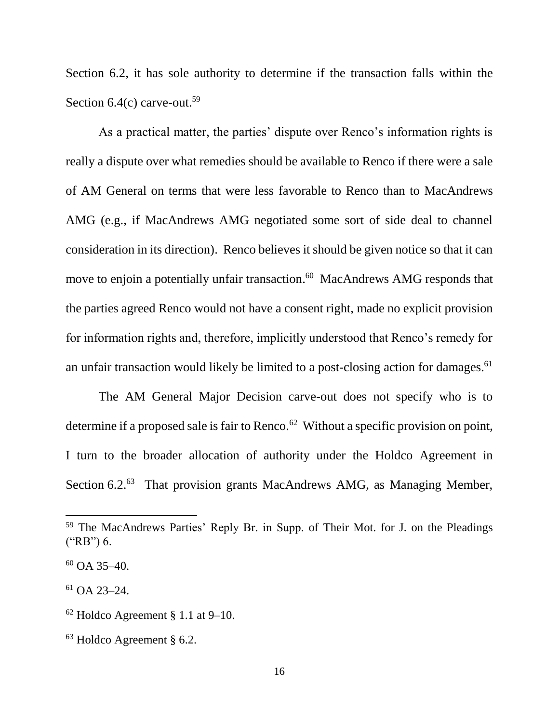Section 6.2, it has sole authority to determine if the transaction falls within the Section  $6.4(c)$  carve-out.<sup>59</sup>

As a practical matter, the parties' dispute over Renco's information rights is really a dispute over what remedies should be available to Renco if there were a sale of AM General on terms that were less favorable to Renco than to MacAndrews AMG (e.g., if MacAndrews AMG negotiated some sort of side deal to channel consideration in its direction). Renco believes it should be given notice so that it can move to enjoin a potentially unfair transaction. <sup>60</sup> MacAndrews AMG responds that the parties agreed Renco would not have a consent right, made no explicit provision for information rights and, therefore, implicitly understood that Renco's remedy for an unfair transaction would likely be limited to a post-closing action for damages.<sup>61</sup>

The AM General Major Decision carve-out does not specify who is to determine if a proposed sale is fair to Renco.<sup>62</sup> Without a specific provision on point, I turn to the broader allocation of authority under the Holdco Agreement in Section 6.2.<sup>63</sup> That provision grants MacAndrews AMG, as Managing Member,

<sup>59</sup> The MacAndrews Parties' Reply Br. in Supp. of Their Mot. for J. on the Pleadings ("RB") 6.

 $60$  OA 35-40.

 $61$  OA 23-24.

 $62$  Holdco Agreement § 1.1 at 9–10.

<sup>63</sup> Holdco Agreement § 6.2.